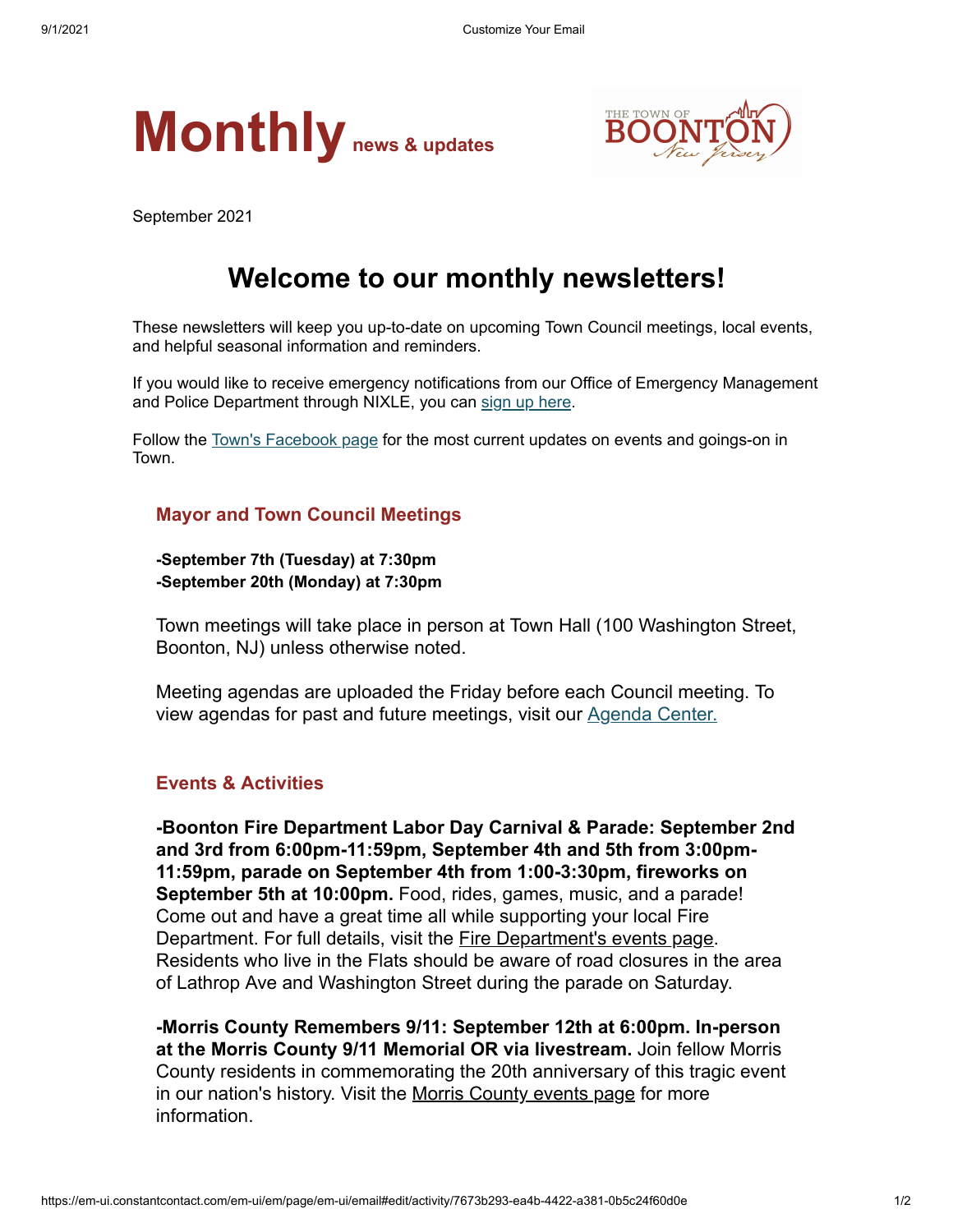



September 2021

## **Welcome to our monthly newsletters!**

These newsletters will keep you up-to-date on upcoming Town Council meetings, local events, and helpful seasonal information and reminders.

If you would like to receive emergency notifications from our Office of Emergency Management and Police Department through NIXLE, you can [sign up here](https://www.boonton.org/347/Sign-up-for-Notifications).

Follow the [Town's Facebook page](https://www.facebook.com/BoontonNJ) for the most current updates on events and goings-on in Town.

## **Mayor and Town Council Meetings**

**-September 7th (Tuesday) at 7:30pm -September 20th (Monday) at 7:30pm**

Town meetings will take place in person at Town Hall (100 Washington Street, Boonton, NJ) unless otherwise noted.

Meeting agendas are uploaded the Friday before each Council meeting. To view agendas for past and future meetings, visit our [Agenda Center.](https://www.boonton.org/AgendaCenter)

## **Events & Activities**

**-Boonton Fire Department Labor Day Carnival & Parade: September 2nd and 3rd from 6:00pm-11:59pm, September 4th and 5th from 3:00pm-11:59pm, parade on September 4th from 1:00-3:30pm, fireworks on September 5th at 10:00pm.** Food, rides, games, music, and a parade! Come out and have a great time all while supporting your local Fire Department. For full details, visit the [Fire Department's events page.](https://boontonfd.org/events) Residents who live in the Flats should be aware of road closures in the area of Lathrop Ave and Washington Street during the parade on Saturday.

**-Morris County Remembers 9/11: September 12th at 6:00pm. In-person at the Morris County 9/11 Memorial OR via livestream.** Join fellow Morris County residents in commemorating the 20th anniversary of this tragic event in our nation's history. Visit the [Morris County events page](https://www.morriscountynj.gov/Morris-County-Events/County-Commissioners-Meetings/911-Remembrance-Ceremony) for more information.